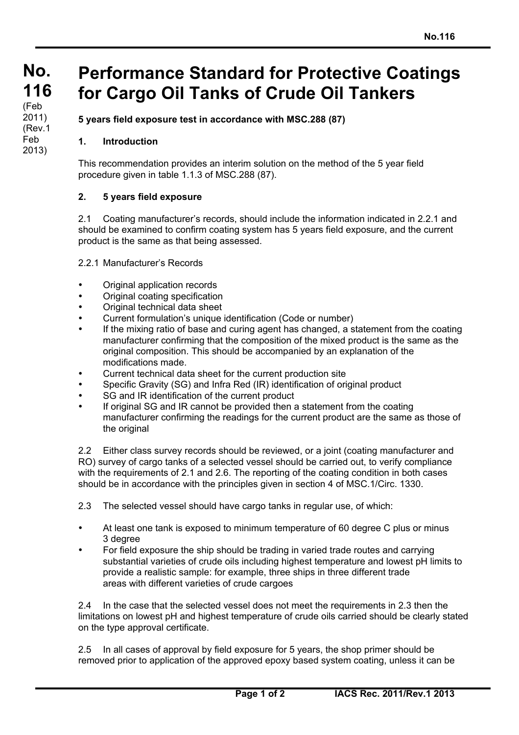## **Performance Standard for Protective Coatings for Cargo Oil Tanks of Crude Oil Tankers**

**5 years field exposure test in accordance with MSC.288 (87)**

## **1. Introduction**

This recommendation provides an interim solution on the method of the 5 year field procedure given in table 1.1.3 of MSC.288 (87).

## **2. 5 years field exposure**

2.1 Coating manufacturer's records, should include the information indicated in 2.2.1 and should be examined to confirm coating system has 5 years field exposure, and the current product is the same as that being assessed.

2.2.1 Manufacturer's Records

- Original application records
- Original coating specification
- Original technical data sheet
- Current formulation's unique identification (Code or number)
- If the mixing ratio of base and curing agent has changed, a statement from the coating manufacturer confirming that the composition of the mixed product is the same as the original composition. This should be accompanied by an explanation of the modifications made.
- Current technical data sheet for the current production site
- Specific Gravity (SG) and Infra Red (IR) identification of original product
- SG and IR identification of the current product
- If original SG and IR cannot be provided then a statement from the coating manufacturer confirming the readings for the current product are the same as those of the original

2.2 Either class survey records should be reviewed, or a joint (coating manufacturer and RO) survey of cargo tanks of a selected vessel should be carried out, to verify compliance with the requirements of 2.1 and 2.6. The reporting of the coating condition in both cases should be in accordance with the principles given in section 4 of MSC.1/Circ. 1330.

2.3 The selected vessel should have cargo tanks in regular use, of which:

- At least one tank is exposed to minimum temperature of 60 degree C plus or minus 3 degree
- For field exposure the ship should be trading in varied trade routes and carrying substantial varieties of crude oils including highest temperature and lowest pH limits to provide a realistic sample: for example, three ships in three different trade areas with different varieties of crude cargoes

2.4 In the case that the selected vessel does not meet the requirements in 2.3 then the limitations on lowest pH and highest temperature of crude oils carried should be clearly stated on the type approval certificate.

2.5 In all cases of approval by field exposure for 5 years, the shop primer should be removed prior to application of the approved epoxy based system coating, unless it can be